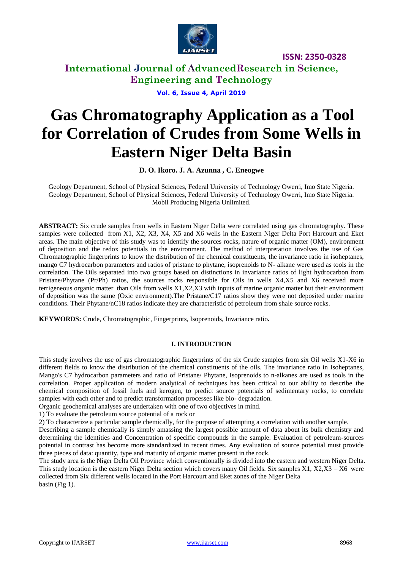

**International Journal of AdvancedResearch in Science, Engineering and Technology**

**Vol. 6, Issue 4, April 2019**

# **Gas Chromatography Application as a Tool for Correlation of Crudes from Some Wells in Eastern Niger Delta Basin**

**D. O. Ikoro. J. A. Azunna , C. Eneogwe**

Geology Department, School of Physical Sciences, Federal University of Technology Owerri, Imo State Nigeria. Geology Department, School of Physical Sciences, Federal University of Technology Owerri, Imo State Nigeria. Mobil Producing Nigeria Unlimited.

**ABSTRACT:** Six crude samples from wells in Eastern Niger Delta were correlated using gas chromatography. These samples were collected from X1, X2, X3, X4, X5 and X6 wells in the Eastern Niger Delta Port Harcourt and Eket areas. The main objective of this study was to identify the sources rocks, nature of organic matter (OM), environment of deposition and the redox potentials in the environment. The method of interpretation involves the use of Gas Chromatographic fingerprints to know the distribution of the chemical constituents, the invariance ratio in isoheptanes, mango C7 hydrocarbon parameters and ratios of pristane to phytane, isoprenoids to N- alkane were used as tools in the correlation. The Oils separated into two groups based on distinctions in invariance ratios of light hydrocarbon from Pristane/Phytane (Pr/Ph) ratios, the sources rocks responsible for Oils in wells X4,X5 and X6 received more terrigeneous organic matter than Oils from wells X1,X2,X3 with inputs of marine organic matter but their environment of deposition was the same (Oxic environment).The Pristane/C17 ratios show they were not deposited under marine conditions. Their Phytane/nC18 ratios indicate they are characteristic of petroleum from shale source rocks.

**KEYWORDS:** Crude, Chromatographic, Fingerprints, Isoprenoids, Invariance ratio**.** 

#### **I. INTRODUCTION**

This study involves the use of gas chromatographic fingerprints of the six Crude samples from six Oil wells X1-X6 in different fields to know the distribution of the chemical constituents of the oils. The invariance ratio in Isoheptanes, Mango's C7 hydrocarbon parameters and ratio of Pristane/ Phytane, Isoprenoids to n-alkanes are used as tools in the correlation. Proper application of modern analytical of techniques has been critical to our ability to describe the chemical composition of fossil fuels and kerogen, to predict source potentials of sedimentary rocks, to correlate samples with each other and to predict transformation processes like bio- degradation.

Organic geochemical analyses are undertaken with one of two objectives in mind.

1) To evaluate the petroleum source potential of a rock or

2) To characterize a particular sample chemically, for the purpose of attempting a correlation with another sample.

Describing a sample chemically is simply amassing the largest possible amount of data about its bulk chemistry and determining the identities and Concentration of specific compounds in the sample. Evaluation of petroleum-sources potential in contrast has become more standardized in recent times. Any evaluation of source potential must provide three pieces of data: quantity, type and maturity of organic matter present in the rock.

The study area is the Niger Delta Oil Province which conventionally is divided into the eastern and western Niger Delta. This study location is the eastern Niger Delta section which covers many Oil fields. Six samples X1, X2,X3 – X6 were collected from Six different wells located in the Port Harcourt and Eket zones of the Niger Delta basin (Fig 1).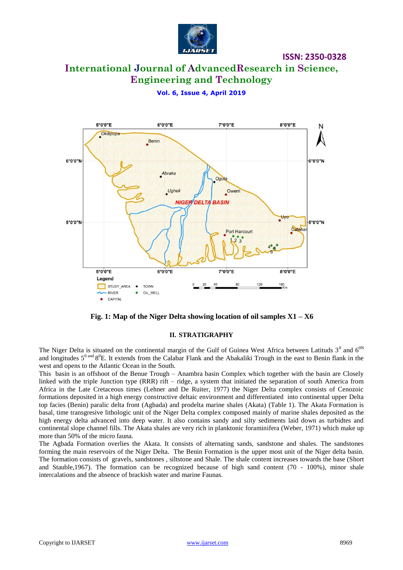

# **International Journal of AdvancedResearch in Science, Engineering and Technology**

### **Vol. 6, Issue 4, April 2019**



**Fig. 1: Map of the Niger Delta showing location of oil samples X1 – X6**

#### **II. STRATIGRAPHY**

The Niger Delta is situated on the continental margin of the Gulf of Guinea West Africa between Latituds  $3^0$  and  $6^{0N}$ and longitudes  $5^{0 \text{ and } 8^{0}}$ E. It extends from the Calabar Flank and the Abakaliki Trough in the east to Benin flank in the west and opens to the Atlantic Ocean in the South.

This basin is an offshoot of the Benue Trough – Anambra basin Complex which together with the basin are Closely linked with the triple Junction type (RRR) rift – ridge, a system that initiated the separation of south America from Africa in the Late Cretaceous times (Lehner and De Ruiter, 1977) the Niger Delta complex consists of Cenozoic formations deposited in a high energy constructive deltaic environment and differentiated into continental upper Delta top facies (Benin) paralic delta front (Agbada) and prodelta marine shales (Akata) (Table 1). The Akata Formation is basal, time transgresive lithologic unit of the Niger Delta complex composed mainly of marine shales deposited as the high energy delta advanced into deep water. It also contains sandy and silty sediments laid down as turbidtes and continental slope channel fills. The Akata shales are very rich in planktonic foraminifera (Weber, 1971) which make up more than 50% of the micro fauna.

The Agbada Formation overlies the Akata. It consists of alternating sands, sandstone and shales. The sandstones forming the main reservoirs of the Niger Delta. The Benin Formation is the upper most unit of the Niger delta basin. The formation consists of gravels, sandstones , siltstone and Shale. The shale content increases towards the base (Short and Stauble,1967). The formation can be recognized because of high sand content (70 - 100%), minor shale intercalations and the absence of brackish water and marine Faunas.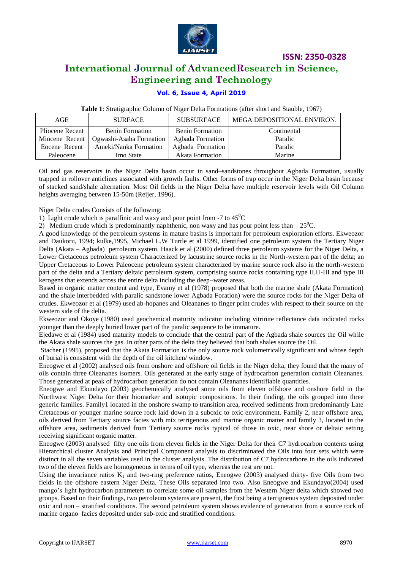

# **International Journal of AdvancedResearch in Science, Engineering and Technology**

#### **Vol. 6, Issue 4, April 2019**

| Table 1: Stratigraphic Column of Niger Delta Formations (after short and Stauble, 1967) |  |
|-----------------------------------------------------------------------------------------|--|
|-----------------------------------------------------------------------------------------|--|

| AGE             | <b>SURFACE</b>          | <b>SUBSURFACE</b>      | MEGA DEPOSITIONAL ENVIRON. |
|-----------------|-------------------------|------------------------|----------------------------|
| Pliocene Recent | <b>Benin Formation</b>  | <b>Benin Formation</b> | Continental                |
| Miocene Recent  | Ogwashi-Asaba Formation | Agbada Formation       | Paralic                    |
| Eocene Recent   | Ameki/Nanka Formation   | Agbada Formation       | Paralic                    |
| Paleocene       | Imo State               | Akata Formation        | Marine                     |

Oil and gas reservoirs in the Niger Delta basin occur in sand–sandstones throughout Agbada Formation, usually trapped in rollover anticlines associated with growth faults. Other forms of trap occur in the Niger Delta basin because of stacked sand/shale alternation. Most Oil fields in the Niger Delta have multiple reservoir levels with Oil Column heights averaging between 15-50m (Reijer, 1996).

Niger Delta crudes Consists of the following:

1) Light crude which is paraffinic and waxy and pour point from -7 to  $45^{\circ}$ C

2) Medium crude which is predominantly naphthenic, non waxy and has pour point less than  $-25^{\circ}$ C.

A good knowledge of the petroleum systems in mature basins is important for petroleum exploration efforts. Ekweozor and Daukoru, 1994; kulke,1995, Michael L.W Turtle et al 1999, identified one petroleum system the Tertiary Niger Delta (Akata – Agbada) petroleum system. Haack et al (2000) defined three petroleum systems for the Niger Delta, a Lower Cretaceous petroleum system Characterized by lacustrine source rocks in the North-western part of the delta; an Upper Cretaceous to Lower Paleocene petroleum system characterized by marine source rock also in the north-western part of the delta and a Tertiary deltaic petroleum system, comprising source rocks containing type II,II-III and type III kerogens that extends across the entire delta including the deep–water areas.

Based in organic matter content and type, Evamy et al (1978) proposed that both the marine shale (Akata Formation) and the shale interbedded with paralic sandstone lower Agbada Foration) were the source rocks for the Niger Delta of crudes. Ekweozor et al (1979) used ab-hopanes and Oleananes to finger print crudes with respect to their source on the western side of the delta.

Ekweozor and Okoye (1980) used geochemical maturity indicator including vitrinite reflectance data indicated rocks younger than the deeply buried lower part of the paralic sequence to be immature.

Ejedawe et al (1984) used maturity models to conclude that the central part of the Agbada shale sources the Oil while the Akata shale sources the gas. In other parts of the delta they believed that both shales source the Oil.

Stacher (1995), proposed that the Akata Formation is the only source rock volumetrically significant and whose depth of burial is consistent with the depth of the oil kitchen/ window.

Eneogwe et al (2002) analysed oils from onshore and offshore oil fields in the Niger delta, they found that the many of oils contain three Oleananes isomers. Oils generated at the early stage of hydrocarbon generation contain Oleananes. Those generated at peak of hydrocarbon generation do not contain Oleananes identifiable quantities.

Eneogwe and Ekundayo (2003) geochemically analysed some oils from eleven offshore and onshore field in the Northwest Niger Delta for their biomarker and isotopic compositions. In their finding, the oils grouped into three generic families. Family1 located in the onshore swamp to transition area, received sediments from predominantly Late Cretaceous or younger marine source rock laid down in a suboxic to oxic environment. Family 2, near offshore area, oils derived from Tertiary source facies with mix terrigenous and marine organic matter and family 3, located in the offshore area, sediments derived from Tertiary source rocks typical of those in oxic, near shore or deltaic setting receiving significant organic matter.

Eneogwe (2003) analysed fifty one oils from eleven fields in the Niger Delta for their C7 hydrocarbon contents using Hierarchical cluster Analysis and Principal Component analysis to discriminated the Oils into four sets which were distinct in all the seven variables used in the cluster analysis. The distribution of C7 hydrocarbons in the oils indicated two of the eleven fields are homogeneous in terms of oil type, whereas the rest are not.

Using the invariance ratios  $K_1$  and two-ring preference ratios, Eneogwe (2003) analysed thirty- five Oils from two fields in the offshore eastern Niger Delta. These Oils separated into two. Also Eneogwe and Ekundayo(2004) used mango's light hydrocarbon parameters to correlate some oil samples from the Western Niger delta which showed two groups. Based on their findings, two petroleum systems are present, the first being a terrigneous system deposited under oxic and non – stratified conditions. The second petroleum system shows evidence of generation from a source rock of marine organo–facies deposited under sub-oxic and stratified conditions.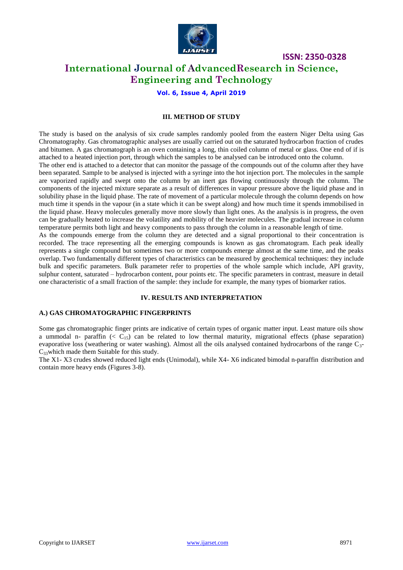

## **International Journal of AdvancedResearch in Science, Engineering and Technology**

**Vol. 6, Issue 4, April 2019**

#### **III. METHOD OF STUDY**

The study is based on the analysis of six crude samples randomly pooled from the eastern Niger Delta using Gas Chromatography. Gas chromatographic analyses are usually carried out on the saturated hydrocarbon fraction of crudes and bitumen. A gas chromatograph is an oven containing a long, thin coiled column of metal or glass. One end of if is attached to a heated injection port, through which the samples to be analysed can be introduced onto the column.

The other end is attached to a detector that can monitor the passage of the compounds out of the column after they have been separated. Sample to be analysed is injected with a syringe into the hot injection port. The molecules in the sample are vaporized rapidly and swept onto the column by an inert gas flowing continuously through the column. The components of the injected mixture separate as a result of differences in vapour pressure above the liquid phase and in solubility phase in the liquid phase. The rate of movement of a particular molecule through the column depends on how much time it spends in the vapour (in a state which it can be swept along) and how much time it spends immobilised in the liquid phase. Heavy molecules generally move more slowly than light ones. As the analysis is in progress, the oven can be gradually heated to increase the volatility and mobility of the heavier molecules. The gradual increase in column temperature permits both light and heavy components to pass through the column in a reasonable length of time.

As the compounds emerge from the column they are detected and a signal proportional to their concentration is recorded. The trace representing all the emerging compounds is known as gas chromatogram. Each peak ideally represents a single compound but sometimes two or more compounds emerge almost at the same time, and the peaks overlap. Two fundamentally different types of characteristics can be measured by geochemical techniques: they include bulk and specific parameters. Bulk parameter refer to properties of the whole sample which include, API gravity, sulphur content, saturated – hydrocarbon content, pour points etc. The specific parameters in contrast, measure in detail one characteristic of a small fraction of the sample: they include for example, the many types of biomarker ratios.

#### **IV. RESULTS AND INTERPRETATION**

#### **A.) GAS CHROMATOGRAPHIC FINGERPRINTS**

Some gas chromatographic finger prints are indicative of certain types of organic matter input. Least mature oils show a ummodal n- paraffin ( $\lt C_{15}$ ) can be related to low thermal maturity, migrational effects (phase separation) evaporative loss (weathering or water washing). Almost all the oils analysed contained hydrocarbons of the range  $C_3$ - $C_{33}$ which made them Suitable for this study.

The X1- X3 crudes showed reduced light ends (Unimodal), while X4- X6 indicated bimodal n-paraffin distribution and contain more heavy ends (Figures 3-8).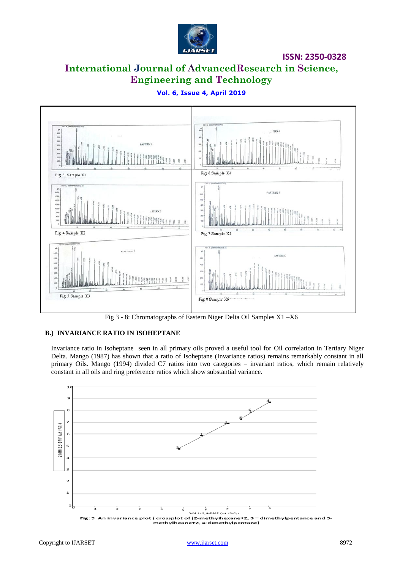

# **International Journal of AdvancedResearch in Science, Engineering and Technology**



### **Vol. 6, Issue 4, April 2019**

Fig 3 - 8: Chromatographs of Eastern Niger Delta Oil Samples X1 –X6

#### **B.) INVARIANCE RATIO IN ISOHEPTANE**

Invariance ratio in Isoheptane seen in all primary oils proved a useful tool for Oil correlation in Tertiary Niger Delta. Mango (1987) has shown that a ratio of Isoheptane (Invariance ratios) remains remarkably constant in all primary Oils. Mango (1994) divided C7 ratios into two categories – invariant ratios, which remain relatively constant in all oils and ring preference ratios which show substantial variance.

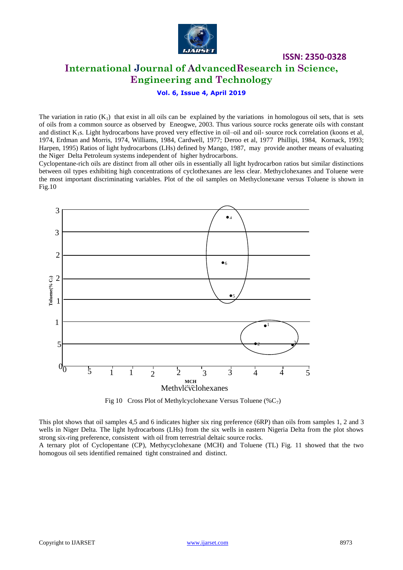

# **International Journal of AdvancedResearch in Science, Engineering and Technology**

**ISSN: 2350-0328**

#### **Vol. 6, Issue 4, April 2019**

The variation in ratio  $(K_1)$  that exist in all oils can be explained by the variations in homologous oil sets, that is sets of oils from a common source as observed by Eneogwe, 2003. Thus various source rocks generate oils with constant and distinct  $K_1s$ . Light hydrocarbons have proved very effective in oil-oil and oil- source rock correlation (koons et al, 1974, Erdman and Morris, 1974, Williams, 1984, Cardwell, 1977; Deroo et al, 1977 Phillipi, 1984, Kornack, 1993; Harpen, 1995) Ratios of light hydrocarbons (LHs) defined by Mango, 1987, may provide another means of evaluating the Niger Delta Petroleum systems independent of higher hydrocarbons.

Cyclopentane-rich oils are distinct from all other oils in essentially all light hydrocarbon ratios but similar distinctions between oil types exhibiting high concentrations of cyclothexanes are less clear. Methyclohexanes and Toluene were the most important discriminating variables. Plot of the oil samples on Methyclonexane versus Toluene is shown in Fig.10



Fig 10 Cross Plot of Methylcyclohexane Versus Toluene (% $C_7$ )

This plot shows that oil samples 4,5 and 6 indicates higher six ring preference (6RP) than oils from samples 1, 2 and 3 wells in Niger Delta. The light hydrocarbons (LHs) from the six wells in eastern Nigeria Delta from the plot shows strong six-ring preference, consistent with oil from terrestrial deltaic source rocks.

A ternary plot of Cyclopentane (CP), Methycyclohexane (MCH) and Toluene (TL) Fig. 11 showed that the two homogous oil sets identified remained tight constrained and distinct.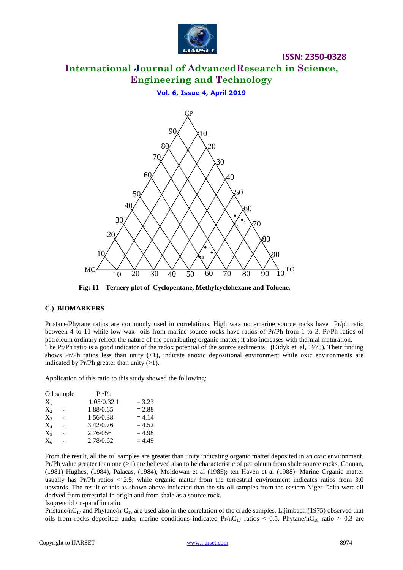

# **International Journal of AdvancedResearch in Science, Engineering and Technology**

**ISSN: 2350-0328**

**Vol. 6, Issue 4, April 2019**



0 **Fig: 11 Ternery plot of Cyclopentane, Methylcyclohexane and Toluene.**

#### **C.) BIOMARKERS**

Pristane/Phytane ratios are commonly used in correlations. High wax non-marine source rocks have Pr/ph ratio between 4 to 11 while low wax oils from marine source rocks have ratios of Pr/Ph from 1 to 3. Pr/Ph ratios of petroleum ordinary reflect the nature of the contributing organic matter; it also increases with thermal maturation. The Pr/Ph ratio is a good indicator of the redox potential of the source sediments (Didyk et, al, 1978). Their finding shows Pr/Ph ratios less than unity  $(\langle 1 \rangle)$ , indicate anoxic depositional environment while oxic environments are indicated by Pr/Ph greater than unity  $(>1)$ .

Application of this ratio to this study showed the following:

| Oil sample          | Pr/Ph       |          |
|---------------------|-------------|----------|
| $X_1$               | 1.05/0.32 1 | $= 3.23$ |
| $X_{2}$<br>$\alpha$ | 1.88/0.65   | $= 2.88$ |
| $X_3$<br>$\epsilon$ | 1.56/0.38   | $= 4.14$ |
| $X_4$<br>$\epsilon$ | 3.42/0.76   | $= 4.52$ |
| $X_5$<br>$\epsilon$ | 2.76/056    | $= 4.98$ |
| $X_6$<br>$\epsilon$ | 2.78/0.62   | $= 4.49$ |

From the result, all the oil samples are greater than unity indicating organic matter deposited in an oxic environment. Pr/Ph value greater than one  $(>1)$  are believed also to be characteristic of petroleum from shale source rocks, Connan, (1981) Hughes, (1984), Palacas, (1984), Moldowan et al (1985); ten Haven et al (1988). Marine Organic matter usually has Pr/Ph ratios < 2.5, while organic matter from the terrestrial environment indicates ratios from 3.0 upwards. The result of this as shown above indicated that the six oil samples from the eastern Niger Delta were all derived from terrestrial in origin and from shale as a source rock. Isoprenoid / n-paraffin ratio

Pristane/nC<sub>17</sub> and Phytane/n-C<sub>18</sub> are used also in the correlation of the crude samples. Lijimbach (1975) observed that oils from rocks deposited under marine conditions indicated Pr/nC<sub>17</sub> ratios < 0.5. Phytane/nC<sub>18</sub> ratio > 0.3 are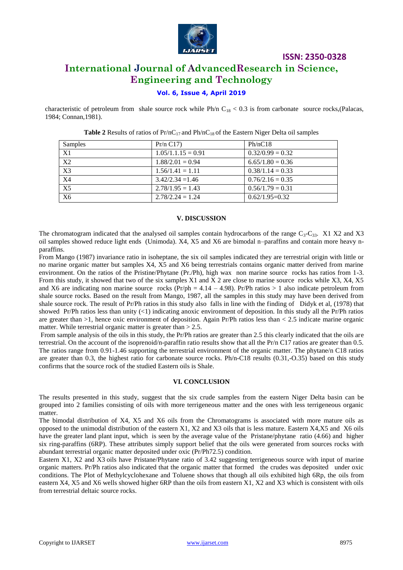

## **International Journal of AdvancedResearch in Science, Engineering and Technology**

#### **Vol. 6, Issue 4, April 2019**

characteristic of petroleum from shale source rock while Ph/n  $C_{18}$  < 0.3 is from carbonate source rocks,(Palacas, 1984; Connan,1981).

| Samples         | Pr/n C17             | Ph/nC18            |
|-----------------|----------------------|--------------------|
| X1              | $1.05/1.1.15 = 0.91$ | $0.32/0.99 = 0.32$ |
| X2              | $1.88/2.01 = 0.94$   | $6.65/1.80 = 0.36$ |
| $\overline{X3}$ | $1.56/1.41 = 1.11$   | $0.38/1.14 = 0.33$ |
| <b>X4</b>       | $3.42/2.34 = 1.46$   | $0.76/2.16 = 0.35$ |
| X <sub>5</sub>  | $2.78/1.95 = 1.43$   | $0.56/1.79 = 0.31$ |
| X6              | $2.78/2.24 = 1.24$   | $0.62/1.95=0.32$   |

**Table 2** Results of ratios of  $Pr/nC_{17}$  and  $Ph/nC_{18}$  of the Eastern Niger Delta oil samples

#### **V. DISCUSSION**

The chromatogram indicated that the analysed oil samples contain hydrocarbons of the range  $C_3$ -C<sub>33</sub>. X1 X2 and X3 oil samples showed reduce light ends (Unimoda). X4, X5 and X6 are bimodal n–paraffins and contain more heavy nparaffins.

From Mango (1987) invariance ratio in isoheptane, the six oil samples indicated they are terrestrial origin with little or no marine organic matter but samples X4, X5 and X6 being terrestrials contains organic matter derived from marine environment. On the ratios of the Pristine/Phytane (Pr./Ph), high wax non marine source rocks has ratios from 1-3. From this study, it showed that two of the six samples X1 and X 2 are close to marine source rocks while X3, X4, X5 and X6 are indicating non marine source rocks ( $Pr/ph = 4.14 - 4.98$ ). Pr/Ph ratios > 1 also indicate petroleum from shale source rocks. Based on the result from Mango, 1987, all the samples in this study may have been derived from shale source rock. The result of Pr/Ph ratios in this study also falls in line with the finding of Didyk et al, (1978) that showed Pr/Ph ratios less than unity  $\langle 1 \rangle$  indicating anoxic environment of deposition. In this study all the Pr/Ph ratios are greater than >1, hence oxic environment of deposition. Again Pr/Ph ratios less than < 2.5 indicate marine organic matter. While terrestrial organic matter is greater than  $> 2.5$ .

From sample analysis of the oils in this study, the Pr/Ph ratios are greater than 2.5 this clearly indicated that the oils are terrestrial. On the account of the isoprenoid/n-paraffin ratio results show that all the Pr/n C17 ratios are greater than 0.5. The ratios range from 0.91-1.46 supporting the terrestrial environment of the organic matter. The phytane/n C18 ratios are greater than 0.3, the highest ratio for carbonate source rocks. Ph/n-C18 results (0.31,-O.35) based on this study confirms that the source rock of the studied Eastern oils is Shale.

#### **VI. CONCLUSION**

The results presented in this study, suggest that the six crude samples from the eastern Niger Delta basin can be grouped into 2 families consisting of oils with more terrigeneous matter and the ones with less terrigeneous organic matter.

The bimodal distribution of X4, X5 and X6 oils from the Chromatograms is associated with more mature oils as opposed to the unimodal distribution of the eastern X1, X2 and X3 oils that is less mature. Eastern X4,X5 and X6 oils have the greater land plant input, which is seen by the average value of the Pristane/phytane ratio (4.66) and higher six ring-paraffins (6RP). These attributes simply support belief that the oils were generated from sources rocks with abundant terrestrial organic matter deposited under oxic (Pr/Ph72.5) condition.

Eastern X1, X2 and X3 oils have Pristane/Phytane ratio of 3.42 suggesting terrigeneous source with input of marine organic matters. Pr/Ph ratios also indicated that the organic matter that formed the crudes was deposited under oxic conditions. The Plot of Methylcyclohexane and Toluene shows that though all oils exhibited high 6Rp, the oils from eastern X4, X5 and X6 wells showed higher 6RP than the oils from eastern X1, X2 and X3 which is consistent with oils from terrestrial deltaic source rocks.